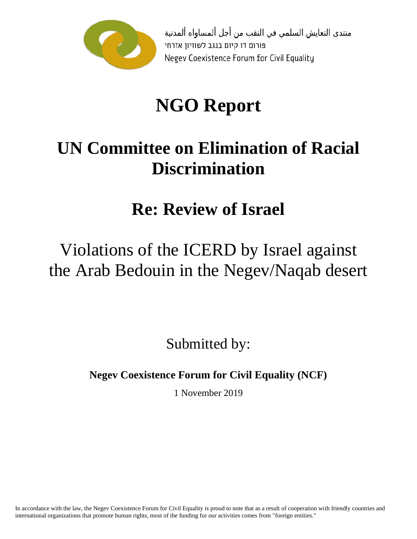

منتدى التعايش السلمي في النقب من أجل ألمساواه ألمدنية פורום דו קיום בנגב לשוויון אזרחי Negev Coexistence Forum for Civil Equality

# **NGO Report**

## **UN Committee on Elimination of Racial Discrimination**

### **Re: Review of Israel**

### Violations of the ICERD by Israel against the Arab Bedouin in the Negev/Naqab desert

Submitted by:

**Negev Coexistence Forum for Civil Equality (NCF)**

1 November 2019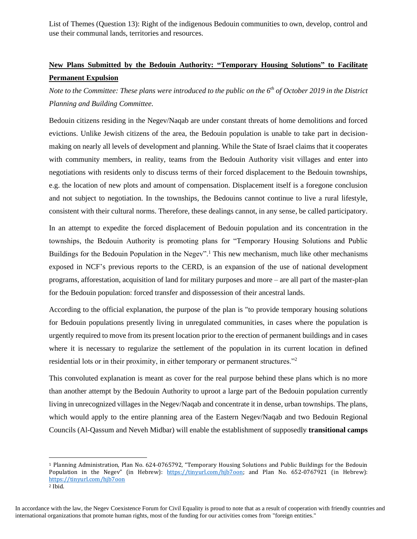List of Themes (Question 13): Right of the indigenous Bedouin communities to own, develop, control and use their communal lands, territories and resources.

#### **New Plans Submitted by the Bedouin Authority: "Temporary Housing Solutions" to Facilitate Permanent Expulsion**

*Note to the Committee: These plans were introduced to the public on the 6th of October 2019 in the District Planning and Building Committee.* 

Bedouin citizens residing in the Negev/Naqab are under constant threats of home demolitions and forced evictions. Unlike Jewish citizens of the area, the Bedouin population is unable to take part in decisionmaking on nearly all levels of development and planning. While the State of Israel claims that it cooperates with community members, in reality, teams from the Bedouin Authority visit villages and enter into negotiations with residents only to discuss terms of their forced displacement to the Bedouin townships, e.g. the location of new plots and amount of compensation. Displacement itself is a foregone conclusion and not subject to negotiation. In the townships, the Bedouins cannot continue to live a rural lifestyle, consistent with their cultural norms. Therefore, these dealings cannot, in any sense, be called participatory.

In an attempt to expedite the forced displacement of Bedouin population and its concentration in the townships, the Bedouin Authority is promoting plans for "Temporary Housing Solutions and Public Buildings for the Bedouin Population in the Negev".<sup>1</sup> This new mechanism, much like other mechanisms exposed in NCF's previous reports to the CERD, is an expansion of the use of national development programs, afforestation, acquisition of land for military purposes and more – are all part of the master-plan for the Bedouin population: forced transfer and dispossession of their ancestral lands.

According to the official explanation, the purpose of the plan is "to provide temporary housing solutions for Bedouin populations presently living in unregulated communities, in cases where the population is urgently required to move from its present location prior to the erection of permanent buildings and in cases where it is necessary to regularize the settlement of the population in its current location in defined residential lots or in their proximity, in either temporary or permanent structures."<sup>2</sup>

This convoluted explanation is meant as cover for the real purpose behind these plans which is no more than another attempt by the Bedouin Authority to uproot a large part of the Bedouin population currently living in unrecognized villages in the Negev/Naqab and concentrate it in dense, urban townships. The plans, which would apply to the entire planning area of the Eastern Negev/Naqab and two Bedouin Regional Councils (Al-Qassum and Neveh Midbar) will enable the establishment of supposedly **transitional camps**

<sup>1</sup> Planning Administration, Plan No. 624-0765792, "Temporary Housing Solutions and Public Buildings for the Bedouin Population in the Negev" (in Hebrew): [https://tinyurl.com/hjb7oon;](https://tinyurl.com/hjb7oon) and Plan No. 652-0767921 (in Hebrew): <https://tinyurl.com/hjb7oon>

<sup>2</sup> Ibid.

In accordance with the law, the Negev Coexistence Forum for Civil Equality is proud to note that as a result of cooperation with friendly countries and international organizations that promote human rights, most of the funding for our activities comes from "foreign entities."